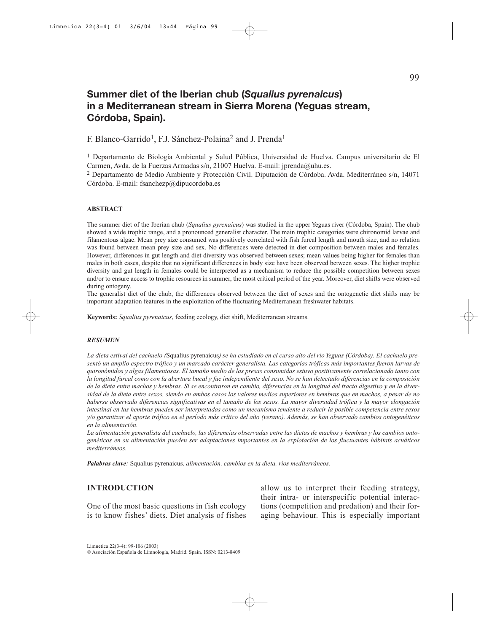# **Summer diet of the Iberian chub (***Squalius pyrenaicus***) in a Mediterranean stream in Sierra Morena (Yeguas stream, Córdoba, Spain).**

F. Blanco-Garrido<sup>1</sup>, F.J. Sánchez-Polaina<sup>2</sup> and J. Prenda<sup>1</sup>

<sup>1</sup> Departamento de Biología Ambiental y Salud Pública, Universidad de Huelva. Campus universitario de El Carmen, Avda. de la Fuerzas Armadas s/n, 21007 Huelva. E-mail: jprenda@uhu.es.

<sup>2</sup> Departamento de Medio Ambiente y Protección Civil. Diputación de Córdoba. Avda. Mediterráneo s/n, 14071 Córdoba. E-mail: fsanchezp@dipucordoba.es

#### **ABSTRACT**

The summer diet of the Iberian chub (*Squalius pyrenaicus*) was studied in the upper Yeguas river (Córdoba, Spain). The chub showed a wide trophic range, and a pronounced generalist character. The main trophic categories were chironomid larvae and filamentous algae. Mean prey size consumed was positively correlated with fish furcal length and mouth size, and no relation was found between mean prey size and sex. No differences were detected in diet composition between males and females. However, differences in gut length and diet diversity was observed between sexes; mean values being higher for females than males in both cases, despite that no significant differences in body size have been observed between sexes. The higher trophic diversity and gut length in females could be interpreted as a mechanism to reduce the possible competition between sexes and/or to ensure access to trophic resources in summer, the most critical period of the year. Moreover, diet shifts were observed during ontogeny.

The generalist diet of the chub, the differences observed between the diet of sexes and the ontogenetic diet shifts may be important adaptation features in the exploitation of the fluctuating Mediterranean freshwater habitats.

**Keywords:** *Squalius pyrenaicus*, feeding ecology, diet shift, Mediterranean streams.

#### *RESUMEN*

*La dieta estival del cachuelo (*Squalius pyrenaicus*) se ha estudiado en el curso alto del río Yeguas (Córdoba). El cachuelo presentó un amplio espectro trófico y un marcado carácter generalista. Las categorías tróficas más importantes fueron larvas de quironómidos y algas filamentosas. El tamaño medio de las presas consumidas estuvo positivamente correlacionado tanto con la longitud furcal como con la abertura bucal y fue independiente del sexo. No se han detectado diferencias en la composición de la dieta entre machos y hembras. Sí se encontraron en cambio, diferencias en la longitud del tracto digestivo y en la diversidad de la dieta entre sexos, siendo en ambos casos los valores medios superiores en hembras que en machos, a pesar de no haberse observado diferencias significativas en el tamaño de los sexos. La mayor diversidad trófica y la mayor elongación intestinal en las hembras pueden ser interpretadas como un mecanismo tendente a reducir la posible competencia entre sexos y/o garantizar el aporte trófico en el período más crítico del año (verano). Además, se han observado cambios ontogenéticos en la alimentación.*

*La alimentación generalista del cachuelo, las diferencias observadas entre las dietas de machos y hembras y los cambios ontogenéticos en su alimentación pueden ser adaptaciones importantes en la explotación de los fluctuantes hábitats acuáticos mediterráneos.*

*Palabras clave:* Squalius pyrenaicus*, alimentación, cambios en la dieta, ríos mediterráneos.*

# **INTRODUCTION**

One of the most basic questions in fish ecology is to know fishes' diets. Diet analysis of fishes allow us to interpret their feeding strategy, their intra- or interspecific potential interactions (competition and predation) and their foraging behaviour. This is especially important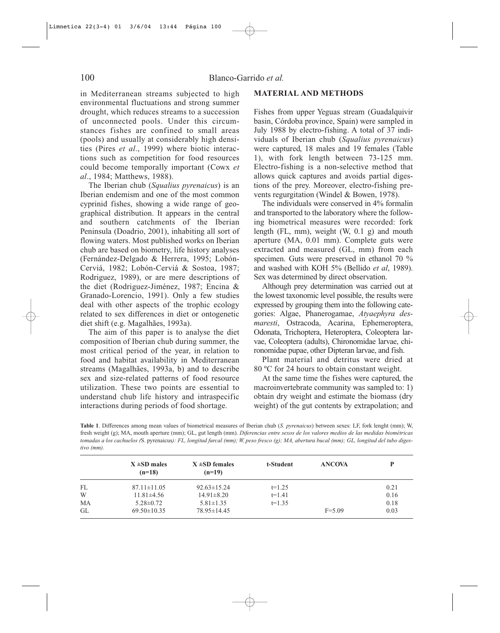in Mediterranean streams subjected to high environmental fluctuations and strong summer drought, which reduces streams to a succession of unconnected pools. Under this circumstances fishes are confined to small areas (pools) and usually at considerably high densities (Pires *et al*., 1999) where biotic interactions such as competition for food resources could become temporally important (Cowx *et al*., 1984; Matthews, 1988).

The Iberian chub (*Squalius pyrenaicus*) is an Iberian endemism and one of the most common cyprinid fishes, showing a wide range of geographical distribution. It appears in the central and southern catchments of the Iberian Peninsula (Doadrio, 2001), inhabiting all sort of flowing waters. Most published works on Iberian chub are based on biometry, life history analyses (Fernández-Delgado & Herrera, 1995; Lobón-Cerviá, 1982; Lobón-Cerviá & Sostoa, 1987; Rodriguez, 1989), or are mere descriptions of the diet (Rodriguez-Jiménez, 1987; Encina & Granado-Lorencio, 1991). Only a few studies deal with other aspects of the trophic ecology related to sex differences in diet or ontogenetic diet shift (e.g. Magalhães, 1993a).

The aim of this paper is to analyse the diet composition of Iberian chub during summer, the most critical period of the year, in relation to food and habitat availability in Mediterranean streams (Magalhães, 1993a, b) and to describe sex and size-related patterns of food resource utilization. These two points are essential to understand chub life history and intraspecific interactions during periods of food shortage.

# **MATERIAL AND METHODS**

Fishes from upper Yeguas stream (Guadalquivir basin, Córdoba province, Spain) were sampled in July 1988 by electro-fishing. A total of 37 individuals of Iberian chub (*Squalius pyrenaicus*) were captured, 18 males and 19 females (Table 1), with fork length between 73-125 mm. Electro-fishing is a non-selective method that allows quick captures and avoids partial digestions of the prey. Moreover, electro-fishing prevents regurgitation (Windel & Bowen, 1978).

The individuals were conserved in 4% formalin and transported to the laboratory where the following biometrical measures were recorded: fork length (FL, mm), weight (W, 0.1 g) and mouth aperture (MA, 0.01 mm). Complete guts were extracted and measured (GL, mm) from each specimen. Guts were preserved in ethanol 70 % and washed with KOH 5% (Bellido *et al*, 1989). Sex was determined by direct observation.

Although prey determination was carried out at the lowest taxonomic level possible, the results were expressed by grouping them into the following categories: Algae, Phanerogamae, *Atyaephyra desmaresti*, Ostracoda, Acarina, Ephemeroptera, Odonata, Trichoptera, Heteroptera, Coleoptera larvae, Coleoptera (adults), Chironomidae larvae, chironomidae pupae, other Dipteran larvae, and fish.

Plant material and detritus were dried at 80 ºC for 24 hours to obtain constant weight.

At the same time the fishes were captured, the macroinvertebrate community was sampled to: 1) obtain dry weight and estimate the biomass (dry weight) of the gut contents by extrapolation; and

**Table 1**. Differences among mean values of biometrical measures of Iberian chub (*S. pyrenaicus*) between sexes: LF, fork lenght (mm); W, fresh weight (g); MA, mouth aperture (mm); GL, gut length (mm). *Diferencias entre sexos de los valores medios de las medidas biométricas tomadas a los cachuelos (*S. pyrenaicus*): FL, longitud furcal (mm); W, peso fresco (g); MA, abertura bucal (mm); GL, longitud del tubo digestivo (mm).*

|    | $X \pm SD$ males<br>$(n=18)$ | $X \pm SD$ females<br>$(n=19)$ | t-Student | <b>ANCOVA</b> | P    |
|----|------------------------------|--------------------------------|-----------|---------------|------|
| FL | $87.11 \pm 11.05$            | $92.63 \pm 15.24$              | $t=1.25$  |               | 0.21 |
| W  | $11.81\pm4.56$               | $14.91 \pm 8.20$               | $t=1.41$  |               | 0.16 |
| MA | $5.28 \pm 0.72$              | $5.81 \pm 1.35$                | $t=1.35$  |               | 0.18 |
| GL | $69.50 \pm 10.35$            | 78.95 ± 14.45                  |           | $F = 5.09$    | 0.03 |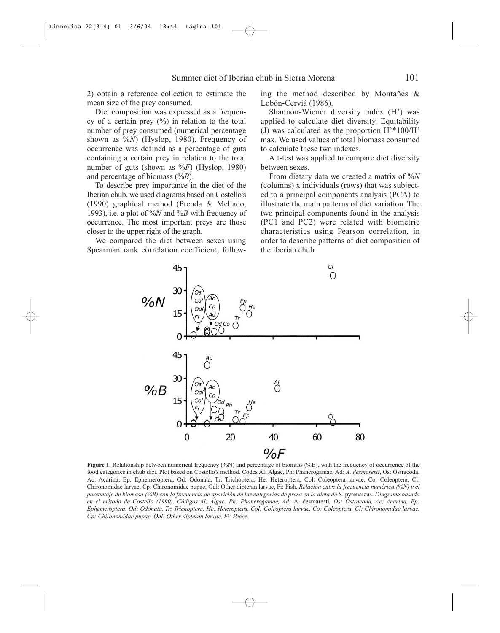2) obtain a reference collection to estimate the mean size of the prey consumed.

Diet composition was expressed as a frequency of a certain prey  $(\%)$  in relation to the total number of prey consumed (numerical percentage shown as %*N*) (Hyslop, 1980). Frequency of occurrence was defined as a percentage of guts containing a certain prey in relation to the total number of guts (shown as %*F*) (Hyslop, 1980) and percentage of biomass (%*B*).

To describe prey importance in the diet of the Iberian chub, we used diagrams based on Costello's (1990) graphical method (Prenda & Mellado, 1993), i.e. a plot of %*N* and %*B* with frequency of occurrence. The most important preys are those closer to the upper right of the graph.

We compared the diet between sexes using Spearman rank correlation coefficient, following the method described by Montañés & Lobón-Cerviá (1986).

Shannon-Wiener diversity index (H') was applied to calculate diet diversity. Equitability (J) was calculated as the proportion H'\*100/H' max. We used values of total biomass consumed to calculate these two indexes.

A t-test was applied to compare diet diversity between sexes.

From dietary data we created a matrix of %*N* (columns) x individuals (rows) that was subjected to a principal components analysis (PCA) to illustrate the main patterns of diet variation. The two principal components found in the analysis (PC1 and PC2) were related with biometric characteristics using Pearson correlation, in order to describe patterns of diet composition of the Iberian chub.



**Figure 1.** Relationship between numerical frequency (%N) and percentage of biomass (%B), with the frequency of occurrence of the food categories in chub diet. Plot based on Costello's method. Codes Al: Algae, Ph: Phanerogamae, Ad: *A. desmaresti*, Os: Ostracoda, Ac: Acarina, Ep: Ephemeroptera, Od: Odonata, Tr: Trichoptera, He: Heteroptera, Col: Coleoptera larvae, Co: Coleoptera, Cl: Chironomidae larvae, Cp: Chironomidae pupae, Odl: Other dipteran larvae, Fi: Fish. *Relación entre la frecuencia numérica (%N) y el porcentaje de biomasa (%B) con la frecuencia de aparición de las categorías de presa en la dieta de* S. pyrenaicus*. Diagrama basado en el método de Costello (1990). Códigos Al: Algae, Ph: Phanerogamae, Ad:* A. desmaresti*, Os: Ostracoda, Ac: Acarina, Ep: Ephemeroptera, Od: Odonata, Tr: Trichoptera, He: Heteroptera, Col: Coleoptera larvae, Co: Coleoptera, Cl: Chironomidae larvae, Cp: Chironomidae pupae, Odl: Other dipteran larvae, Fi: Peces.*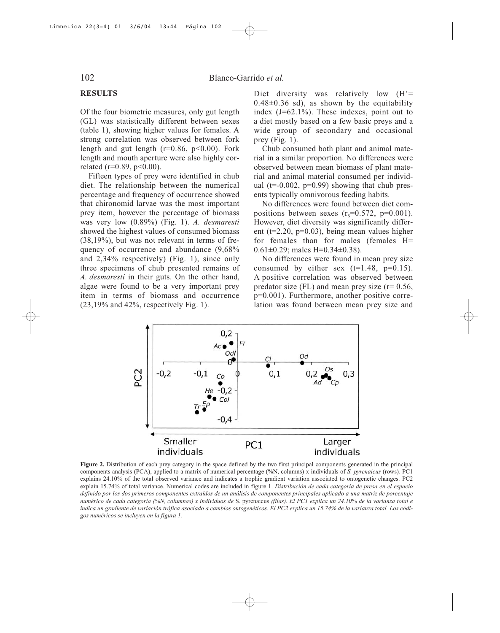# **RESULTS**

Of the four biometric measures, only gut length (GL) was statistically different between sexes (table 1), showing higher values for females. A strong correlation was observed between fork length and gut length ( $r=0.86$ ,  $p<0.00$ ). Fork length and mouth aperture were also highly correlated ( $r=0.89$ ,  $p<0.00$ ).

Fifteen types of prey were identified in chub diet. The relationship between the numerical percentage and frequency of occurrence showed that chironomid larvae was the most important prey item, however the percentage of biomass was very low (0.89%) (Fig. 1). *A. desmaresti* showed the highest values of consumed biomass (38,19%), but was not relevant in terms of frequency of occurrence and abundance (9,68% and 2,34% respectively) (Fig. 1), since only three specimens of chub presented remains of *A. desmaresti* in their guts. On the other hand, algae were found to be a very important prey item in terms of biomass and occurrence (23,19% and 42%, respectively Fig. 1).

Diet diversity was relatively low  $(H' =$  $0.48\pm0.36$  sd), as shown by the equitability index (J=62.1%). These indexes, point out to a diet mostly based on a few basic preys and a wide group of secondary and occasional prey (Fig. 1).

Chub consumed both plant and animal material in a similar proportion. No differences were observed between mean biomass of plant material and animal material consumed per individual ( $t=-0.002$ ,  $p=0.99$ ) showing that chub presents typically omnivorous feeding habits.

No differences were found between diet compositions between sexes  $(r<sub>s</sub>=0.572, p=0.001)$ . However, diet diversity was significantly different ( $t=2.20$ ,  $p=0.03$ ), being mean values higher for females than for males (females H= 0.61 $\pm$ 0.29; males H=0.34 $\pm$ 0.38).

No differences were found in mean prey size consumed by either sex  $(t=1.48, p=0.15)$ . A positive correlation was observed between predator size (FL) and mean prey size ( $r= 0.56$ , p=0.001). Furthermore, another positive correlation was found between mean prey size and



**Figure 2.** Distribution of each prey category in the space defined by the two first principal components generated in the principal components analysis (PCA), applied to a matrix of numerical percentage (%N, columns) x individuals of *S. pyrenaicus* (rows)*.* PC1 explains 24.10% of the total observed variance and indicates a trophic gradient variation associated to ontogenetic changes. PC2 explain 15.74% of total variance. Numerical codes are included in figure 1. *Distribución de cada categoría de presa en el espacio definido por los dos primeros componentes extraídos de un análisis de componentes principales aplicado a una matriz de porcentaje numérico de cada categoría (%N, columnas) x individuos de* S. pyrenaicus *(filas). El PC1 explica un 24.10% de la varianza total e indica un gradiente de variación trófica asociado a cambios ontogenéticos. El PC2 explica un 15.74% de la varianza total. Los códigos numéricos se incluyen en la figura 1.*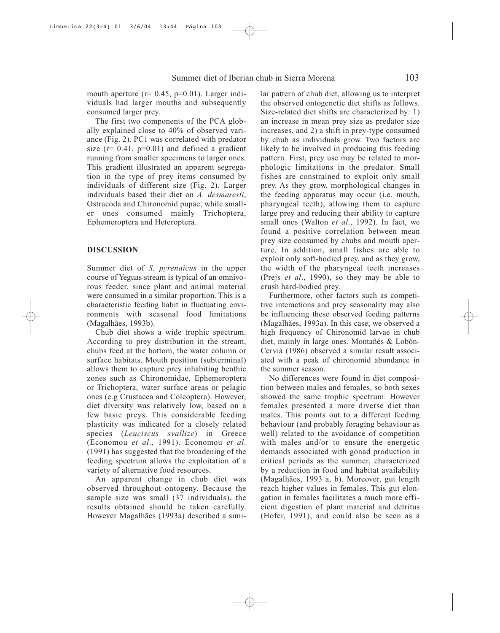mouth aperture  $(r= 0.45, p=0.01)$ . Larger individuals had larger mouths and subsequently consumed larger prey.

The first two components of the PCA globally explained close to 40% of observed variance (Fig. 2). PC1 was correlated with predator size ( $r= 0.41$ ,  $p=0.01$ ) and defined a gradient running from smaller specimens to larger ones. This gradient illustrated an apparent segregation in the type of prey items consumed by individuals of different size (Fig. 2). Larger individuals based their diet on *A. desmaresti*, Ostracoda and Chironomid pupae, while smaller ones consumed mainly Trichoptera, Ephemeroptera and Heteroptera.

# **DISCUSSION**

Summer diet of *S. pyrenaicus* in the upper course of Yeguas stream is typical of an omnivorous feeder, since plant and animal material were consumed in a similar proportion. This is a characteristic feeding habit in fluctuating environments with seasonal food limitations (Magalhães, 1993b).

Chub diet shows a wide trophic spectrum. According to prey distribution in the stream, chubs feed at the bottom, the water column or surface habitats. Mouth position (subterminal) allows them to capture prey inhabiting benthic zones such as Chironomidae, Ephemeroptera or Trichoptera, water surface areas or pelagic ones (e.g Crustacea and Coleoptera). However, diet diversity was relatively low, based on a few basic preys. This considerable feeding plasticity was indicated for a closely related species (*Leuciscus svallize*) in Greece (Economou *et al*., 1991). Economou *et al*. (1991) has suggested that the broadening of the feeding spectrum allows the exploitation of a variety of alternative food resources.

An apparent change in chub diet was observed throughout ontogeny. Because the sample size was small (37 individuals), the results obtained should be taken carefully. However Magalhães (1993a) described a similar pattern of chub diet, allowing us to interpret the observed ontogenetic diet shifts as follows. Size-related diet shifts are characterized by: 1) an increase in mean prey size as predator size increases, and 2) a shift in prey-type consumed by chub as individuals grow. Two factors are likely to be involved in producing this feeding pattern. First, prey use may be related to morphologic limitations in the predator. Small fishes are constrained to exploit only small prey. As they grow, morphological changes in the feeding apparatus may occur (i.e. mouth, pharyngeal teeth), allowing them to capture large prey and reducing their ability to capture small ones (Walton *et al*., 1992). In fact, we found a positive correlation between mean prey size consumed by chubs and mouth aperture. In addition, small fishes are able to exploit only soft-bodied prey, and as they grow, the width of the pharyngeal teeth increases (Prejs *et al*., 1990), so they may be able to crush hard-bodied prey.

Furthermore, other factors such as competitive interactions and prey seasonality may also be influencing these observed feeding patterns (Magalhães, 1993a). In this case, we observed a high frequency of Chironomid larvae in chub diet, mainly in large ones. Montañés & Lobón-Cerviá (1986) observed a similar result associated with a peak of chironomid abundance in the summer season.

No differences were found in diet composition between males and females, so both sexes showed the same trophic spectrum. However females presented a more diverse diet than males. This points out to a different feeding behaviour (and probably foraging behaviour as well) related to the avoidance of competition with males and/or to ensure the energetic demands associated with gonad production in critical periods as the summer, characterized by a reduction in food and habitat availability (Magalhães, 1993 a, b). Moreover, gut length reach higher values in females. This gut elongation in females facilitates a much more efficient digestion of plant material and detritus (Hofer, 1991), and could also be seen as a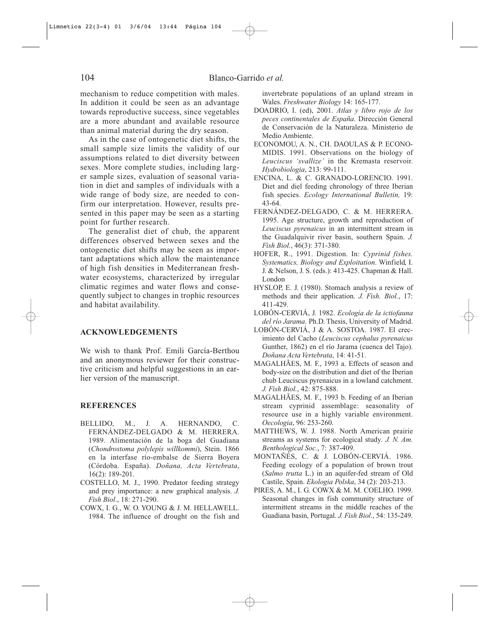mechanism to reduce competition with males. In addition it could be seen as an advantage towards reproductive success, since vegetables are a more abundant and available resource than animal material during the dry season.

As in the case of ontogenetic diet shifts, the small sample size limits the validity of our assumptions related to diet diversity between sexes. More complete studies, including larger sample sizes, evaluation of seasonal variation in diet and samples of individuals with a wide range of body size, are needed to confirm our interpretation. However, results presented in this paper may be seen as a starting point for further research.

The generalist diet of chub, the apparent differences observed between sexes and the ontogenetic diet shifts may be seen as important adaptations which allow the maintenance of high fish densities in Mediterranean freshwater ecosystems, characterized by irregular climatic regimes and water flows and consequently subject to changes in trophic resources and habitat availability.

#### **ACKNOWLEDGEMENTS**

We wish to thank Prof. Emili García-Berthou and an anonymous reviewer for their constructive criticism and helpful suggestions in an earlier version of the manuscript.

#### **REFERENCES**

- BELLIDO, M., J. A. HERNANDO, C. FERNÁNDEZ-DELGADO & M. HERRERA. 1989. Alimentación de la boga del Guadiana (*Chondrostoma polylepis willkommi*), Stein. 1866 en la interfase río-embalse de Sierra Boyera (Córdoba. España). *Doñana, Acta Vertebrata*, 16(2): 189-201.
- COSTELLO, M. J., 1990. Predator feeding strategy and prey importance: a new graphical analysis. *J. Fish Biol*., 18: 271-290.
- COWX, I. G., W. O. YOUNG & J. M. HELLAWELL. 1984. The influence of drought on the fish and

invertebrate populations of an upland stream in Wales. *Freshwater Biology* 14: 165-177.

- DOADRIO, I. (ed), 2001. *Atlas y libro rojo de los peces continentales de España*. Dirección General de Conservación de la Naturaleza. Ministerio de Medio Ambiente.
- ECONOMOU, A. N., CH. DAOULAS & P. ECONO-MIDIS. 1991. Observations on the biology of *Leuciscus 'svallize'* in the Kremasta reservoir. *Hydrobiologia*, 213: 99-111.
- ENCINA, L. & C. GRANADO-LORENCIO. 1991. Diet and diel feeding chronology of three Iberian fish species. *Ecology International Bulletin,* 19: 43-64.
- FERNÁNDEZ-DELGADO, C. & M. HERRERA. 1995. Age structure, growth and reproduction of *Leuciscus pyrenaicus* in an intermittent stream in the Guadalquivir river basin, southern Spain. *J. Fish Biol.*, 46(3): 371-380.
- HOFER, R., 1991. Digestion. In: *Cyprinid fishes. Systematics, Biology and Exploitation*. Winfield, I. J. & Nelson, J. S. (eds.): 413-425. Chapman & Hall. London
- HYSLOP, E. J. (1980). Stomach analysis a review of methods and their application. *J. Fish. Biol.*, 17: 411-429.
- LOBÓN-CERVIÁ, J. 1982. *Ecología de la ictiofauna del río Jarama.* Ph.D. Thesis, University of Madrid.
- LOBÓN-CERVIÁ, J & A. SOSTOA. 1987. El crecimiento del Cacho (*Leuciscus cephalus pyrenaicus* Gunther, 1862) en el río Jarama (cuenca del Tajo). *Doñana Acta Vertebrata*, 14: 41-51.
- MAGALHÃES, M. F., 1993 a. Effects of season and body-size on the distribution and diet of the Iberian chub Leuciscus pyrenaicus in a lowland catchment. *J. Fish Biol.*, 42: 875-888.
- MAGALHÃES, M. F., 1993 b. Feeding of an Iberian stream cyprinid assemblage: seasonality of resource use in a highly variable environment. *Oecologia*, 96: 253-260.
- MATTHEWS, W. J. 1988. North American prairie streams as systems for ecological study*. J. N. Am. Benthological Soc.*, 7: 387-409.
- MONTAÑÉS, C. & J. LOBÓN-CERVIÁ. 1986. Feeding ecology of a population of brown trout (*Salmo trutta* L.) in an aquifer-fed stream of Old Castile, Spain. *Ekologia Polska*, 34 (2): 203-213.
- PIRES, A. M., I. G. COWX & M. M. COELHO. 1999. Seasonal changes in fish community structure of intermittent streams in the middle reaches of the Guadiana basin, Portugal. *J. Fish Biol*., 54: 135-249.